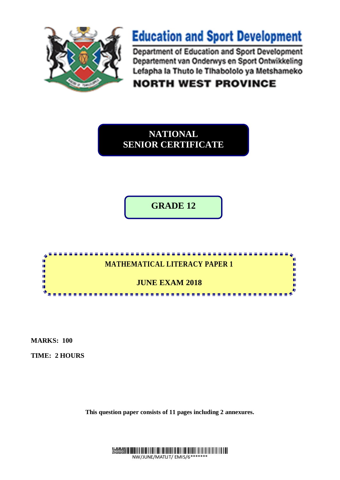

# **Education and Sport Development**

Department of Education and Sport Development Departement van Onderwys en Sport Ontwikkeling Lefapha la Thuto le Tihabololo ya Metshameko

**NORTH WEST PROVINCE** 

**NATIONAL SENIOR CERTIFICATE**

**GRADE 12**



**MARKS: 100**

**TIME: 2 HOURS**

**This question paper consists of 11 pages including 2 annexures.**

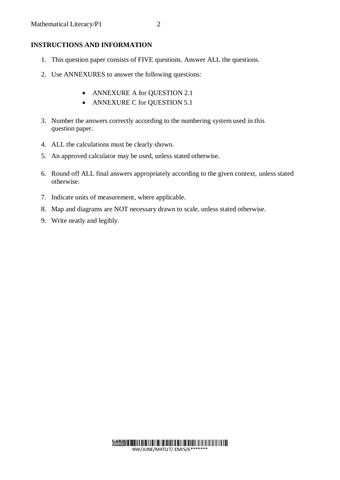## **INSTRUCTIONS AND INFORMATION**

- 1. This question paper consists of FIVE questions. Answer ALL the questions.
- 2. Use ANNEXURES to answer the following questions:
	- ANNEXURE A for QUESTION 2.1
	- ANNEXURE C for QUESTION 5.1
- 3. Number the answers correctly according to the numbering system used in this question paper.
- 4. ALL the calculations must be clearly shown.
- 5. An approved calculator may be used, unless stated otherwise.
- 6. Round off ALL final answers appropriately according to the given context, unless stated otherwise.
- 7. Indicate units of measurement, where applicable.
- 8. Map and diagrams are NOT necessary drawn to scale, unless stated otherwise.
- 9. Write neatly and legibly.

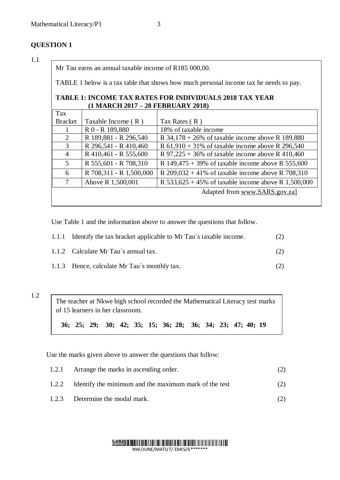# **QUESTION 1**

#### 1.1

Mr Tau earns an annual taxable income of R185 000,00.

TABLE 1 below is a tax table that shows how much personal income tax he needs to pay.

#### **TABLE 1: INCOME TAX RATES FOR INDIVIDUALS 2018 TAX YEAR (1 MARCH 2017 – 28 FEBRUARY 2018)**

| Tax            |                         |                                                        |
|----------------|-------------------------|--------------------------------------------------------|
| <b>Bracket</b> | Taxable Income $(R)$    | Tax Rates $(R)$                                        |
|                | R 0 - R 189,880         | 18% of taxable income                                  |
| 2              | R 189,881 - R 296,540   | R $34,178 + 26\%$ of taxable income above R 189,880    |
| 3              | R 296,541 - R 410,460   | R $61,910 + 31\%$ of taxable income above R 296,540    |
| $\overline{4}$ | R 410,461 - R 555,600   | R 97,225 + 36% of taxable income above R 410,460       |
| $\mathfrak{S}$ | R 555,601 - R 708,310   | R $149,475 + 39\%$ of taxable income above R 555,600   |
| 6              | R 708,311 - R 1,500,000 | R $209,032 + 41\%$ of taxable income above R 708,310   |
| 7              | Above R 1,500,001       | R $533,625 + 45\%$ of taxable income above R 1,500,000 |
|                |                         | Adapted from www.SARS.gov.zal                          |
|                |                         |                                                        |

Use Table 1 and the information above to answer the questions that follow.

| 1.1.1 Identify the tax bracket applicable to Mr Tau's taxable income. | (2) |
|-----------------------------------------------------------------------|-----|
| 1.1.2 Calculate Mr Tau's annual tax.                                  | (2) |
| 1.1.3 Hence, calculate Mr Tau's monthly tax.                          |     |

#### 1.2

The teacher at Nkwe high school recorded the Mathematical Literacy test marks of 15 learners in her classroom.

**36; 25; 29; 30; 42; 35; 15; 36; 28; 36; 34; 23; 47; 40; 19** 

Use the marks given above to answer the questions that follow:

| 1.2.1 Arrange the marks in ascending order.                 |     |
|-------------------------------------------------------------|-----|
| 1.2.2 Identify the minimum and the maximum mark of the test | (2) |
| 1.2.3 Determine the modal mark.                             |     |

#### Demo **NATIONALISTICI IN INTERNATIONALISTICI IN IN** NW/JUNE/MATLIT/ EMIS/6\*\*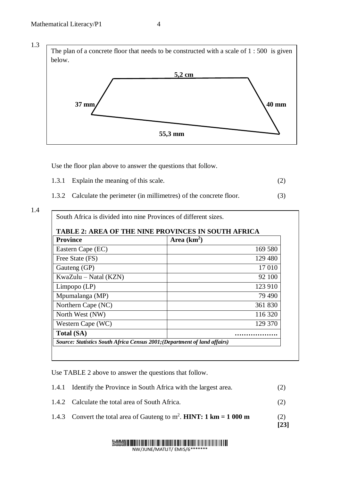

Use the floor plan above to answer the questions that follow.

- 1.3.1 Explain the meaning of this scale. (2)
- 1.3.2 Calculate the perimeter (in millimetres) of the concrete floor. (3)

| <b>TABLE 2: AREA OF THE NINE PROVINCES IN SOUTH AFRICA</b><br><b>Province</b> |  |  |  |
|-------------------------------------------------------------------------------|--|--|--|
| Area $(km2)$                                                                  |  |  |  |
| 169 580                                                                       |  |  |  |
| 129 480                                                                       |  |  |  |
| 17 010                                                                        |  |  |  |
| 92 100                                                                        |  |  |  |
| 123 910                                                                       |  |  |  |
| 79 490                                                                        |  |  |  |
| 361 830                                                                       |  |  |  |
| 116 320                                                                       |  |  |  |
| 129 370                                                                       |  |  |  |
|                                                                               |  |  |  |
| Source: Statistics South Africa Census 2001; (Department of land affairs)     |  |  |  |
|                                                                               |  |  |  |

Use TABLE 2 above to answer the questions that follow.

| 1.4.1 Identify the Province in South Africa with the largest area. | (2) |
|--------------------------------------------------------------------|-----|
| 1.4.2 Calculate the total area of South Africa.                    |     |

1.4.3 Convert the total area of Gauteng to  $m^2$ . **HINT: 1 km = 1 000 m** (2)

**[23]**

# **Demonstration of the control of the control of the control of the control of the control of the control of the control of the control of the control of the control of the control of the control of the control of the contr**

NW/JUNE/MATLIT/ EMIS/6\*\*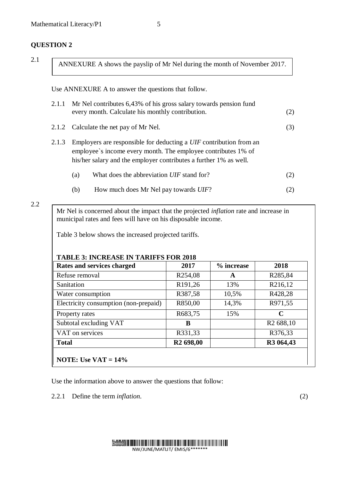# **QUESTION 2**

| v      |  |
|--------|--|
| $\sim$ |  |

ANNEXURE A shows the payslip of Mr Nel during the month of November 2017.

Use ANNEXURE A to answer the questions that follow.

|       |                                                                                                                                                                                                          | 2.1.1 Mr Nel contributes 6,43% of his gross salary towards pension fund<br>every month. Calculate his monthly contribution. | (2) |
|-------|----------------------------------------------------------------------------------------------------------------------------------------------------------------------------------------------------------|-----------------------------------------------------------------------------------------------------------------------------|-----|
|       |                                                                                                                                                                                                          | 2.1.2 Calculate the net pay of Mr Nel.                                                                                      | (3) |
| 2.1.3 | Employers are responsible for deducting a UIF contribution from an<br>employee's income every month. The employee contributes 1% of<br>his/her salary and the employer contributes a further 1% as well. |                                                                                                                             |     |
|       | (a)                                                                                                                                                                                                      | What does the abbreviation UIF stand for?                                                                                   | (2) |
|       | (b)                                                                                                                                                                                                      | How much does Mr Nel pay towards UIF?                                                                                       |     |

#### 2.2

Mr Nel is concerned about the impact that the projected *inflation* rate and increase in municipal rates and fees will have on his disposable income.

Table 3 below shows the increased projected tariffs.

## **TABLE 3: INCREASE IN TARIFFS FOR 2018**

| Rates and services charged            | 2017                  | % increase | 2018                  |
|---------------------------------------|-----------------------|------------|-----------------------|
| Refuse removal                        | R <sub>254,08</sub>   | A          | R285,84               |
| Sanitation                            | R <sub>191,26</sub>   | 13%        | R216,12               |
| Water consumption                     | R387,58               | 10,5%      | R428,28               |
| Electricity consumption (non-prepaid) | R850,00               | 14,3%      | R971,55               |
| Property rates                        | R683,75               | 15%        | C                     |
| Subtotal excluding VAT                | В                     |            | R <sub>2</sub> 688,10 |
| VAT on services                       | R331,33               |            | R376,33               |
| <b>Total</b>                          | R <sub>2</sub> 698,00 |            | R3 064,43             |
|                                       |                       |            |                       |
| <b>NOTE:</b> Use $VAT = 14\%$         |                       |            |                       |

Use the information above to answer the questions that follow:

2.2.1 Define the term *inflation*. (2)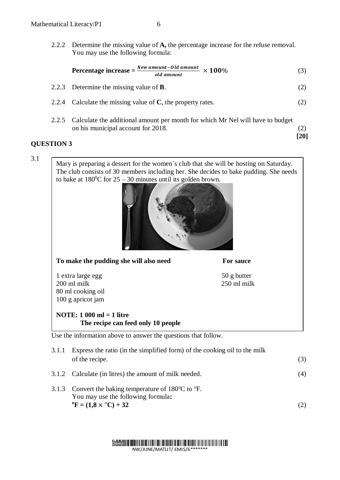2.2.2 Determine the missing value of **A,** the percentage increase for the refuse removal. You may use the following formula:

$$
Percentage increase = \frac{New amount - Old amount}{old amount} \times 100\%
$$
 (3)

- 2.2.3 Determine the missing value of **B**. (2)
- 2.2.4 Calculate the missing value of **C**, the property rates. (2)
- 2.2.5 Calculate the additional amount per month for which Mr Nel will have to budget on his municipal account for 2018. (2)

**[20]**

#### **QUESTION 3**

3.1

Mary is preparing a dessert for the women`s club that she will be hosting on Saturday. The club consists of 30 members including her. She decides to bake pudding. She needs to bake at  $180^0C$  for  $25 - 30$  minutes until its golden brown.



| To make the pudding she will also need                                             | For sauce                  |    |
|------------------------------------------------------------------------------------|----------------------------|----|
| 1 extra large egg<br>$200$ ml milk                                                 | 50 g butter<br>250 ml milk |    |
| 80 ml cooking oil                                                                  |                            |    |
| 100 g apricot jam                                                                  |                            |    |
| NOTE: $1\,000 \text{ ml} = 1$ litre                                                |                            |    |
| The recipe can feed only 10 people                                                 |                            |    |
| Use the information above to answer the questions that follow.                     |                            |    |
| 3.1.1<br>Express the ratio (in the simplified form) of the cooking oil to the milk |                            |    |
| of the recipe.                                                                     |                            | 3) |

- 3.1.2 Calculate (in litres) the amount of milk needed. (4)
- 3.1.3 Convert the baking temperature of  $180^{\circ}$ C to  $^{\circ}$ F. You may use the following formula**:**   ${}^{\circ}$ **F** = (1,8 ×  ${}^{\circ}$ C) + 32 (2)

Demo **NATIONALISTICI IN INTERNATIONALISTICI IN IN** NW/JUNE/MATLIT/ EMIS/6\*\*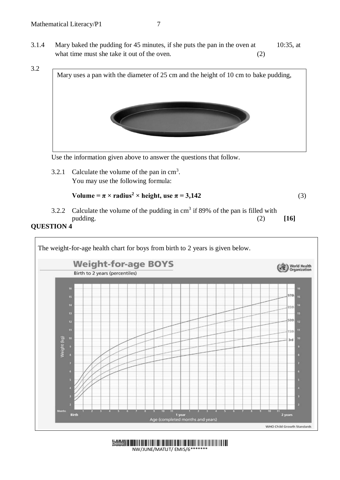

Use the information given above to answer the questions that follow.

3.2.1 Calculate the volume of the pan in  $\text{cm}^3$ . You may use the following formula:

```
Volume = \pi \times radius<sup>2</sup> \times height, use \pi = 3,142 (3)
```
3.2.2 Calculate the volume of the pudding in  $cm<sup>3</sup>$  if 89% of the pan is filled with pudding. (2) **[16]**

## **QUESTION 4**



NW/JUNE/MATLIT/ EMIS/6\*\*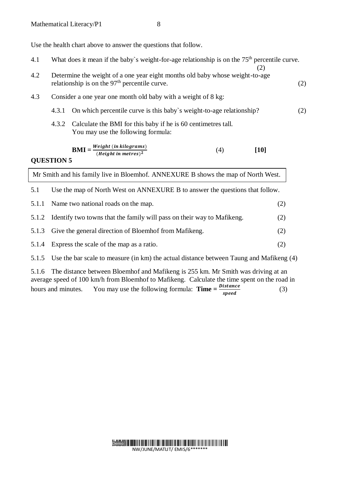Use the health chart above to answer the questions that follow.

| 4.1                                                                                                               | What does it mean if the baby's weight-for-age relationship is on the $75th$ percentile curve.<br>(2) |                                                                                                                                 |  |     |     |
|-------------------------------------------------------------------------------------------------------------------|-------------------------------------------------------------------------------------------------------|---------------------------------------------------------------------------------------------------------------------------------|--|-----|-----|
| 4.2                                                                                                               |                                                                                                       | Determine the weight of a one year eight months old baby whose weight-to-age<br>relationship is on the $97th$ percentile curve. |  |     | (2) |
| 4.3                                                                                                               |                                                                                                       | Consider a one year one month old baby with a weight of 8 kg:                                                                   |  |     |     |
|                                                                                                                   | 4.3.1                                                                                                 | On which percentile curve is this baby's weight-to-age relationship?                                                            |  |     | (2) |
|                                                                                                                   | 4.3.2                                                                                                 | Calculate the BMI for this baby if he is 60 centimetres tall.<br>You may use the following formula:                             |  |     |     |
| $\textbf{BMI} = \frac{Weight \ (in \ kilograms)}{(Height \ in \ metres)^2}$<br>(4)<br>$[10]$<br><b>QUESTION 5</b> |                                                                                                       |                                                                                                                                 |  |     |     |
| Mr Smith and his family live in Bloemhof. ANNEXURE B shows the map of North West.                                 |                                                                                                       |                                                                                                                                 |  |     |     |
| 5.1                                                                                                               |                                                                                                       | Use the map of North West on ANNEXURE B to answer the questions that follow.                                                    |  |     |     |
| 5.1.1                                                                                                             |                                                                                                       | Name two national roads on the map.                                                                                             |  | (2) |     |
| 5.1.2                                                                                                             |                                                                                                       | Identify two towns that the family will pass on their way to Mafikeng.                                                          |  | (2) |     |
| 5.1.3                                                                                                             |                                                                                                       | Give the general direction of Bloemhof from Mafikeng.                                                                           |  | (2) |     |
| 5.1.4                                                                                                             |                                                                                                       | Express the scale of the map as a ratio.                                                                                        |  | (2) |     |
|                                                                                                                   |                                                                                                       |                                                                                                                                 |  |     |     |

5.1.5 Use the bar scale to measure (in km) the actual distance between Taung and Mafikeng (4)

5.1.6 The distance between Bloemhof and Mafikeng is 255 km. Mr Smith was driving at an average speed of 100 km/h from Bloemhof to Mafikeng. Calculate the time spent on the road in hours and minutes. You may use the following formula: **Time** =  $\frac{Distance}{model}$ speed (3)

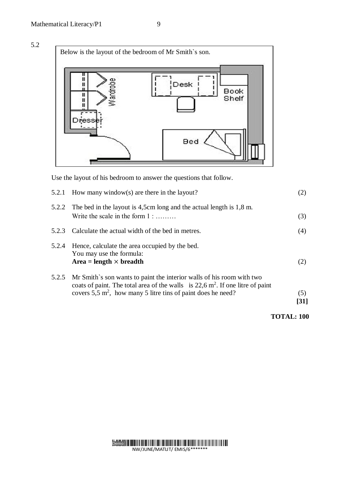5.2



Use the layout of his bedroom to answer the questions that follow.

|       | 5.2.1 How many window(s) are there in the layout?                                                                                                                                                                                                 | (2)         |
|-------|---------------------------------------------------------------------------------------------------------------------------------------------------------------------------------------------------------------------------------------------------|-------------|
|       | 5.2.2 The bed in the layout is 4,5cm long and the actual length is 1,8 m.<br>Write the scale in the form $1:$                                                                                                                                     | (3)         |
| 5.2.3 | Calculate the actual width of the bed in metres.                                                                                                                                                                                                  | (4)         |
| 5.2.4 | Hence, calculate the area occupied by the bed.<br>You may use the formula:<br>$Area = length \times breadth$                                                                                                                                      | (2)         |
| 5.2.5 | Mr Smith's son wants to paint the interior walls of his room with two<br>coats of paint. The total area of the walls is $22, 6$ m <sup>2</sup> . If one litre of paint<br>covers $5.5 \text{ m}^2$ , how many 5 litre tins of paint does he need? | (5)<br>[31] |

**TOTAL: 100**

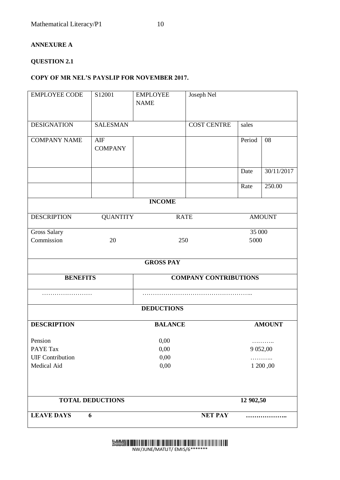#### **ANNEXURE A**

#### **QUESTION 2.1**

#### **COPY OF MR NEL'S PAYSLIP FOR NOVEMBER 2017.**

| <b>EMPLOYEE CODE</b>                   | S12001                | <b>EMPLOYEE</b><br><b>NAME</b> | Joseph Nel         |                 |            |
|----------------------------------------|-----------------------|--------------------------------|--------------------|-----------------|------------|
| <b>DESIGNATION</b>                     | <b>SALESMAN</b>       |                                | <b>COST CENTRE</b> | sales           |            |
| <b>COMPANY NAME</b>                    | AIF<br><b>COMPANY</b> |                                |                    | Period          | 08         |
|                                        |                       |                                |                    | Date            | 30/11/2017 |
|                                        |                       |                                |                    | Rate            | 250.00     |
|                                        |                       | <b>INCOME</b>                  |                    |                 |            |
| <b>DESCRIPTION</b>                     | <b>QUANTITY</b>       |                                | <b>RATE</b>        | <b>AMOUNT</b>   |            |
| Gross Salary<br>Commission             | 20                    |                                | 250                | 35 000<br>5000  |            |
|                                        |                       | <b>GROSS PAY</b>               |                    |                 |            |
| <b>BENEFITS</b>                        |                       | <b>COMPANY CONTRIBUTIONS</b>   |                    |                 |            |
|                                        |                       |                                |                    |                 |            |
|                                        |                       | <b>DEDUCTIONS</b>              |                    |                 |            |
| <b>DESCRIPTION</b>                     |                       | <b>BALANCE</b>                 |                    | <b>AMOUNT</b>   |            |
| Pension<br>PAYE Tax                    |                       | 0,00<br>0,00                   |                    | .<br>9 0 5 2,00 |            |
| <b>UIF Contribution</b><br>Medical Aid | 0,00<br>0,00          |                                |                    | 1 200,00        |            |
| <b>TOTAL DEDUCTIONS</b>                |                       |                                | 12 902,50          |                 |            |
| <b>LEAVE DAYS</b>                      | 6                     |                                | <b>NET PAY</b>     |                 |            |

Demo

NW/JUNE/MATLIT/ EMIS/6\*\*\*\*\*\*\*